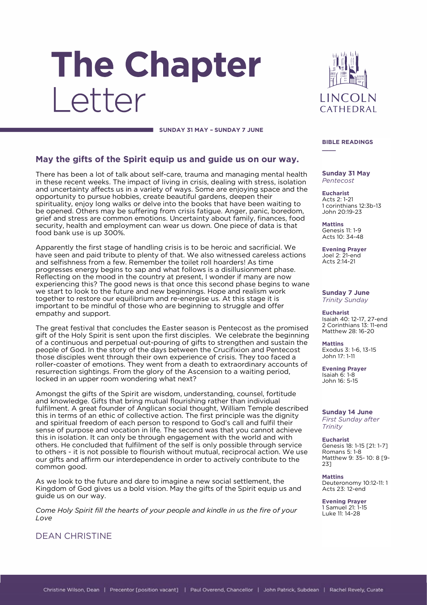# The Chapter Letter



#### **SUNDAY 31 MAY – SUNDAY 7 JUNE**

#### **May the gifts of the Spirit equip us and guide us on our way.**

There has been a lot of talk about self-care, trauma and managing mental health in these recent weeks. The impact of living in crisis, dealing with stress, isolation and uncertainty affects us in a variety of ways. Some are enjoying space and the opportunity to pursue hobbies, create beautiful gardens, deepen their spirituality, enjoy long walks or delve into the books that have been waiting to be opened. Others may be suffering from crisis fatigue. Anger, panic, boredom, grief and stress are common emotions. Uncertainty about family, finances, food security, health and employment can wear us down. One piece of data is that food bank use is up 300%.

Apparently the first stage of handling crisis is to be heroic and sacrificial. We have seen and paid tribute to plenty of that. We also witnessed careless actions and selfishness from a few. Remember the toilet roll hoarders! As time progresses energy begins to sap and what follows is a disillusionment phase. Reflecting on the mood in the country at present, I wonder if many are now experiencing this? The good news is that once this second phase begins to wane we start to look to the future and new beginnings. Hope and realism work together to restore our equilibrium and re-energise us. At this stage it is important to be mindful of those who are beginning to struggle and offer empathy and support.

The great festival that concludes the Easter season is Pentecost as the promised gift of the Holy Spirit is sent upon the first disciples. We celebrate the beginning of a continuous and perpetual out-pouring of gifts to strengthen and sustain the people of God. In the story of the days between the Crucifixion and Pentecost those disciples went through their own experience of crisis. They too faced a roller-coaster of emotions. They went from a death to extraordinary accounts of resurrection sightings. From the glory of the Ascension to a waiting period, locked in an upper room wondering what next?

Amongst the gifts of the Spirit are wisdom, understanding, counsel, fortitude and knowledge. Gifts that bring mutual flourishing rather than individual fulfilment. A great founder of Anglican social thought, William Temple described this in terms of an ethic of collective action. The first principle was the dignity and spiritual freedom of each person to respond to God's call and fulfil their sense of purpose and vocation in life. The second was that you cannot achieve this in isolation. It can only be through engagement with the world and with others. He concluded that fulfilment of the self is only possible through service to others - it is not possible to flourish without mutual, reciprocal action. We use our gifts and affirm our interdependence in order to actively contribute to the common good.

As we look to the future and dare to imagine a new social settlement, the Kingdom of God gives us a bold vision. May the gifts of the Spirit equip us and guide us on our way.

*Come Holy Spirit fill the hearts of your people and kindle in us the fire of your Love* 

DEAN CHRISTINE

#### **BIBLE READINGS \_\_\_\_**

**Sunday 31 May** *Pentecost*

**Eucharist** Acts 2: 1-21 1 corinthians 12:3b-13 John 20:19-23

**Mattins** Genesis 11: 1-9 Acts 10: 34-48

**Evening Prayer** Joel 2: 21-end Acts 2:14-21

**Sunday 7 June** *Trinity Sunday*

**Eucharist** Isaiah 40: 12-17, 27-end 2 Corinthians 13: 11-end Matthew 28: 16-20

**Mattins** Exodus 3: 1-6, 13-15 John 17: 1-11

**Evening Prayer** Isaiah 6: 1-8 John 16: 5-15

**Sunday 14 June** *First Sunday after Trinity*

**Eucharist** Genesis 18: 1-15 [21: 1-7] Romans 5: 1-8 Matthew 9: 35- 10: 8 [9- 23]

**Mattins** Deuteronomy 10:12-11: 1 Acts 23: 12-end

**Evening Prayer** 1 Samuel 21: 1-15 Luke 11: 14-28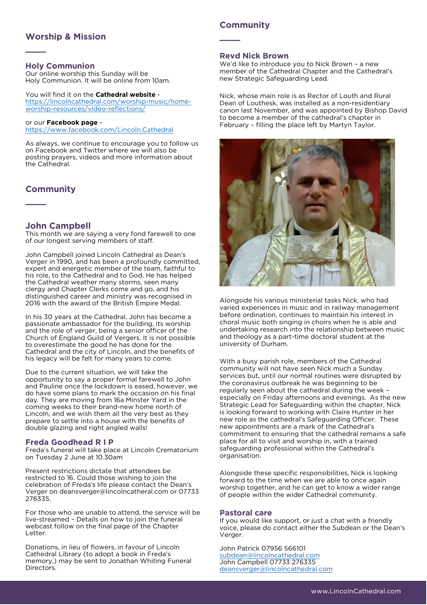#### **Worship & Mission**

#### **Holy Communion**

**\_\_\_\_**

Our online worship this Sunday will be Holy Communion. It will be online from 10am.

You will find it on the **Cathedral website** [https://lincolncathedral.com/worship-music/home](https://lincolncathedral.com/worship-music/home-worship-resources/video-reflections/)[worship-resources/video-reflections/](https://lincolncathedral.com/worship-music/home-worship-resources/video-reflections/)

or our **Facebook page** <https://www.facebook.com/Lincoln.Cathedral>

As always, we continue to encourage you to follow us on Facebook and Twitter where we will also be posting prayers, videos and more information about the Cathedral.

#### **Community**

**\_\_\_\_**

#### **John Campbell**

This month we are saying a very fond farewell to one of our longest serving members of staff.

John Campbell joined Lincoln Cathedral as Dean's Verger in 1990, and has been a profoundly committed, expert and energetic member of the team, faithful to his role, to the Cathedral and to God. He has helped the Cathedral weather many storms, seen many clergy and Chapter Clerks come and go, and his distinguished career and ministry was recognised in 2016 with the award of the British Empire Medal.

In his 30 years at the Cathedral, John has become a passionate ambassador for the building, its worship and the role of verger, being a senior officer of the Church of England Guild of Vergers. It is not possible to overestimate the good he has done for the Cathedral and the city of Lincoln, and the benefits of his legacy will be felt for many years to come.

Due to the current situation, we will take the opportunity to say a proper formal farewell to John and Pauline once the lockdown is eased, however, we do have some plans to mark the occasion on his final day. They are moving from 16a Minster Yard in the coming weeks to their brand-new home north of Lincoln, and we wish them all the very best as they prepare to settle into a house with the benefits of double glazing and right angled walls!

#### **Freda Goodhead R I P**

Freda's funeral will take place at Lincoln Crematorium on Tuesday 2 June at 10.30am

Present restrictions dictate that attendees be restricted to 16. Could those wishing to join the celebration of Freda's life please contact the Dean's Verger on deansverger@lincolncatheral.com or 07733 276335.

For those who are unable to attend, the service will be live-streamed – Details on how to join the funeral webcast follow on the final page of the Chapter Letter.

Donations, in lieu of flowers, in favour of Lincoln Cathedral Library (to adopt a book in Freda's memory,) may be sent to Jonathan Whiting Funeral Directors.

#### **Community**

**\_\_\_\_**

#### **Revd Nick Brown**

We'd like to introduce you to Nick Brown – a new member of the Cathedral Chapter and the Cathedral's new Strategic Safeguarding Lead.

Nick, whose main role is as Rector of Louth and Rural Dean of Louthesk, was installed as a non-residentiary canon last November, and was appointed by Bishop David to become a member of the cathedral's chapter in February – filling the place left by Martyn Taylor.



Alongside his various ministerial tasks Nick, who had varied experiences in music and in railway management before ordination, continues to maintain his interest in choral music both singing in choirs when he is able and undertaking research into the relationship between music and theology as a part-time doctoral student at the university of Durham.

With a busy parish role, members of the Cathedral community will not have seen Nick much a Sunday services but, until our normal routines were disrupted by the coronavirus outbreak he was beginning to be regularly seen about the cathedral during the week – especially on Friday afternoons and evenings. As the new Strategic Lead for Safeguarding within the chapter, Nick is looking forward to working with Claire Hunter in her new role as the cathedral's Safeguarding Officer. These new appointments are a mark of the Cathedral's commitment to ensuring that the cathedral remains a safe place for all to visit and worship in, with a trained safeguarding professional within the Cathedral's organisation.

Alongside these specific responsibilities, Nick is looking forward to the time when we are able to once again worship together, and he can get to know a wider range of people within the wider Cathedral community.

#### **Pastoral care**

If you would like support, or just a chat with a friendly voice, please do contact either the Subdean or the Dean's Verger.

John Patrick 07956 566101 [subdean@lincolncathedral.com](mailto:subdean@lincolncathedral.com) John Campbell 07733 276335 [deansverger@lincolncathedral.com](mailto:deansverger@lincolncathedral.com)